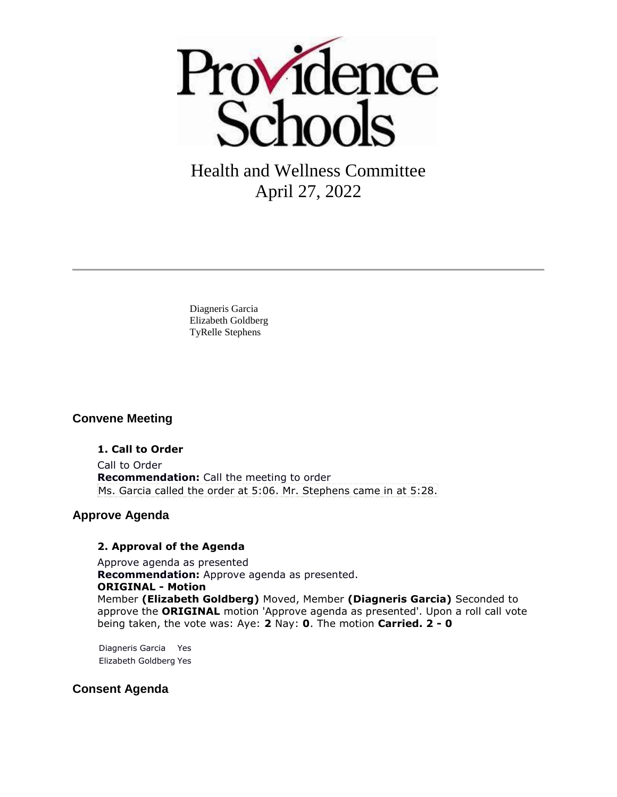

# Health and Wellness Committee April 27, 2022

Diagneris Garcia Elizabeth Goldberg TyRelle Stephens

# **Convene Meeting**

#### **1. Call to Order**

Call to Order **Recommendation:** Call the meeting to order Ms. Garcia called the order at 5:06. Mr. Stephens came in at 5:28.

# **Approve Agenda**

#### **2. Approval of the Agenda**

Approve agenda as presented **Recommendation:** Approve agenda as presented. **ORIGINAL - Motion** Member **(Elizabeth Goldberg)** Moved, Member **(Diagneris Garcia)** Seconded to approve the **ORIGINAL** motion 'Approve agenda as presented'. Upon a roll call vote being taken, the vote was: Aye: **2** Nay: **0**. The motion **Carried. 2 - 0** 

Diagneris Garcia Yes Elizabeth Goldberg Yes

# **Consent Agenda**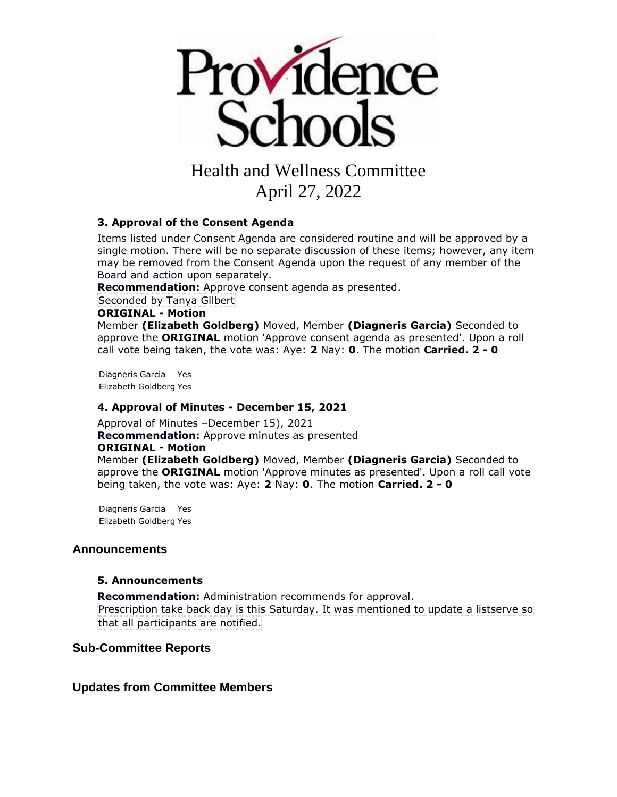

# Health and Wellness Committee

April 27, 2022

#### **3. Approval of the Consent Agenda**

Items listed under Consent Agenda are considered routine and will be approved by a single motion. There will be no separate discussion of these items; however, any item may be removed from the Consent Agenda upon the request of any member of the Board and action upon separately.

**Recommendation:** Approve consent agenda as presented.

Seconded by Tanya Gilbert

#### **ORIGINAL - Motion**

Member **(Elizabeth Goldberg)** Moved, Member **(Diagneris Garcia)** Seconded to approve the **ORIGINAL** motion 'Approve consent agenda as presented'. Upon a roll call vote being taken, the vote was: Aye: **2** Nay: **0**. The motion **Carried. 2 - 0** 

Diagneris Garcia Yes Elizabeth Goldberg Yes

#### **4. Approval of Minutes - December 15, 2021**

Approval of Minutes –December 15), 2021 **Recommendation:** Approve minutes as presented **ORIGINAL - Motion** Member **(Elizabeth Goldberg)** Moved, Member **(Diagneris Garcia)** Seconded to approve the **ORIGINAL** motion 'Approve minutes as presented'. Upon a roll call vote being taken, the vote was: Aye: **2** Nay: **0**. The motion **Carried. 2 - 0** 

Diagneris Garcia Yes Elizabeth Goldberg Yes

#### **Announcements**

#### **5. Announcements**

**Recommendation:** Administration recommends for approval. Prescription take back day is this Saturday. It was mentioned to update a listserve so that all participants are notified.

#### **Sub-Committee Reports**

**Updates from Committee Members**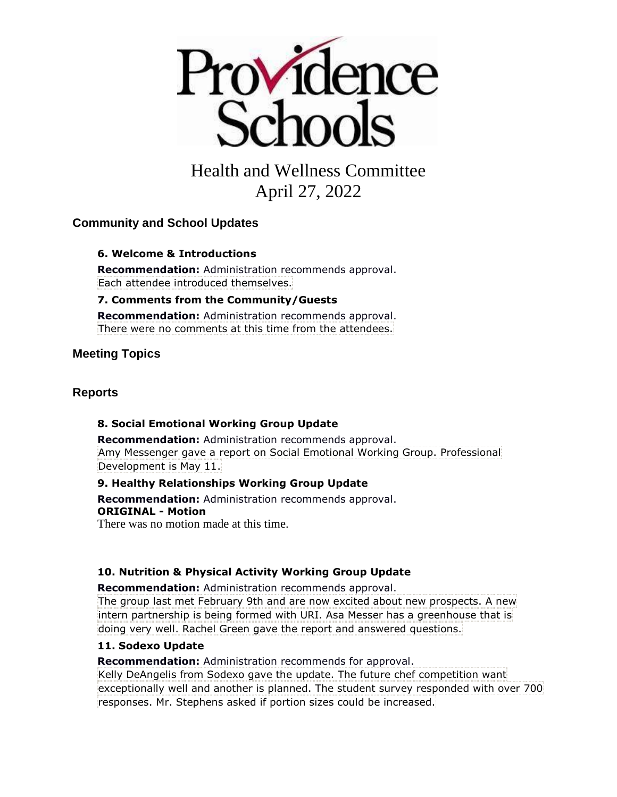

# Health and Wellness Committee April 27, 2022

# **Community and School Updates**

#### **6. Welcome & Introductions**

**Recommendation:** Administration recommends approval. Each attendee introduced themselves.

#### **7. Comments from the Community/Guests**

**Recommendation:** Administration recommends approval. There were no comments at this time from the attendees.

# **Meeting Topics**

### **Reports**

#### **8. Social Emotional Working Group Update**

**Recommendation:** Administration recommends approval. Amy Messenger gave a report on Social Emotional Working Group. Professional Development is May 11.

#### **9. Healthy Relationships Working Group Update**

**Recommendation:** Administration recommends approval. **ORIGINAL - Motion**

There was no motion made at this time.

# **10. Nutrition & Physical Activity Working Group Update**

**Recommendation:** Administration recommends approval. The group last met February 9th and are now excited about new prospects. A new intern partnership is being formed with URI. Asa Messer has a greenhouse that is doing very well. Rachel Green gave the report and answered questions.

#### **11. Sodexo Update**

**Recommendation:** Administration recommends for approval.

Kelly DeAngelis from Sodexo gave the update. The future chef competition want exceptionally well and another is planned. The student survey responded with over 700 responses. Mr. Stephens asked if portion sizes could be increased.